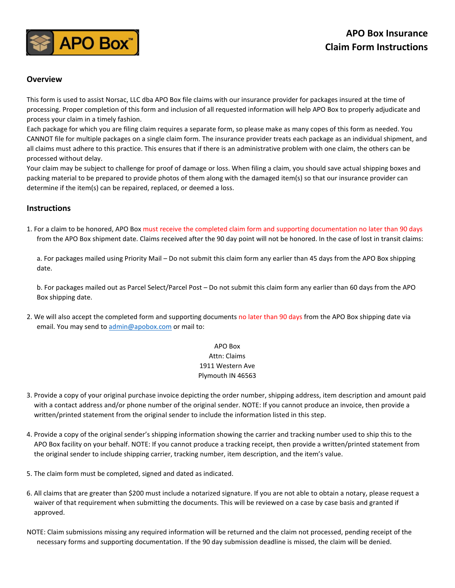

## **Overview**

This form is used to assist Norsac, LLC dba APO Box file claims with our insurance provider for packages insured at the time of processing. Proper completion of this form and inclusion of all requested information will help APO Box to properly adjudicate and process your claim in a timely fashion.

Each package for which you are filing claim requires a separate form, so please make as many copes of this form as needed. You CANNOT file for multiple packages on a single claim form. The insurance provider treats each package as an individual shipment, and all claims must adhere to this practice. This ensures that if there is an administrative problem with one claim, the others can be processed without delay.

Your claim may be subject to challenge for proof of damage or loss. When filing a claim, you should save actual shipping boxes and packing material to be prepared to provide photos of them along with the damaged item(s) so that our insurance provider can determine if the item(s) can be repaired, replaced, or deemed a loss.

## **Instructions**

1. For a claim to be honored, APO Box must receive the completed claim form and supporting documentation no later than 90 days from the APO Box shipment date. Claims received after the 90 day point will not be honored. In the case of lost in transit claims:

a. For packages mailed using Priority Mail – Do not submit this claim form any earlier than 45 days from the APO Box shipping date.

b. For packages mailed out as Parcel Select/Parcel Post – Do not submit this claim form any earlier than 60 days from the APO Box shipping date.

2. We will also accept the completed form and supporting documents no later than 90 days from the APO Box shipping date via email. You may send t[o admin@apobox.com](mailto:admin@apobox.com) or mail to:

## APO Box Attn: Claims 1911 Western Ave Plymouth IN 46563

- 3. Provide a copy of your original purchase invoice depicting the order number, shipping address, item description and amount paid with a contact address and/or phone number of the original sender. NOTE: If you cannot produce an invoice, then provide a written/printed statement from the original sender to include the information listed in this step.
- 4. Provide a copy of the original sender's shipping information showing the carrier and tracking number used to ship this to the APO Box facility on your behalf. NOTE: If you cannot produce a tracking receipt, then provide a written/printed statement from the original sender to include shipping carrier, tracking number, item description, and the item's value.
- 5. The claim form must be completed, signed and dated as indicated.
- 6. All claims that are greater than \$200 must include a notarized signature. If you are not able to obtain a notary, please request a waiver of that requirement when submitting the documents. This will be reviewed on a case by case basis and granted if approved.
- NOTE: Claim submissions missing any required information will be returned and the claim not processed, pending receipt of the necessary forms and supporting documentation. If the 90 day submission deadline is missed, the claim will be denied.